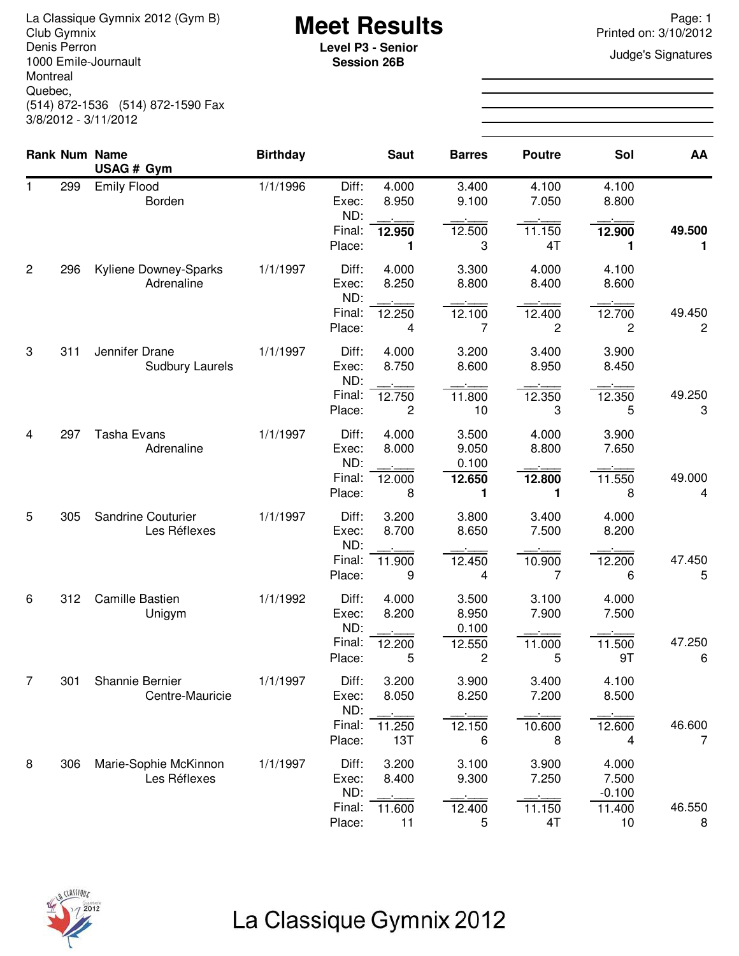La Classique Gymnix 2012 (Gym B)<br>Club Gymnix 2012 (Gym B) **Meet Results**<br>Denis Perron **Page: 1** Printed on: 3/10/2012 Denis Perron 1000 Emile-Journault Montreal Quebec, (514) 872-1536 (514) 872-1590 Fax 3/8/2012 - 3/11/2012

**Session 26B**

Printed on: 3/10/2012

**Judge's Signatures** 

|                |     | <b>Rank Num Name</b><br>USAG # Gym       | <b>Birthday</b> |                         | <b>Saut</b>    | <b>Barres</b>           | <b>Poutre</b>  | Sol                      | AA                       |
|----------------|-----|------------------------------------------|-----------------|-------------------------|----------------|-------------------------|----------------|--------------------------|--------------------------|
| 1              | 299 | <b>Emily Flood</b><br>Borden             | 1/1/1996        | Diff:<br>Exec:<br>ND:   | 4.000<br>8.950 | 3.400<br>9.100          | 4.100<br>7.050 | 4.100<br>8.800           |                          |
|                |     |                                          |                 | Final:<br>Place:        | 12.950<br>1    | 12.500<br>3             | 11.150<br>4T   | 12.900<br>1              | 49.500<br>1              |
| $\overline{2}$ | 296 | Kyliene Downey-Sparks<br>Adrenaline      | 1/1/1997        | Diff:<br>Exec:<br>ND:   | 4.000<br>8.250 | 3.300<br>8.800          | 4.000<br>8.400 | 4.100<br>8.600           |                          |
|                |     |                                          |                 | Final:<br>Place:        | 12.250<br>4    | 12.100<br>7             | 12.400<br>2    | 12.700<br>2              | 49.450<br>$\overline{c}$ |
| 3              | 311 | Jennifer Drane<br><b>Sudbury Laurels</b> | 1/1/1997        | Diff:<br>Exec:<br>ND:   | 4.000<br>8.750 | 3.200<br>8.600          | 3.400<br>8.950 | 3.900<br>8.450           |                          |
|                |     |                                          |                 | Final:<br>Place:        | 12.750<br>2    | 11.800<br>10            | 12.350<br>3    | 12.350<br>5              | 49.250<br>3              |
| 4              | 297 | <b>Tasha Evans</b><br>Adrenaline         | 1/1/1997        | Diff:<br>Exec:<br>ND:   | 4.000<br>8.000 | 3.500<br>9.050<br>0.100 | 4.000<br>8.800 | 3.900<br>7.650           |                          |
|                |     |                                          |                 | Final:<br>Place:        | 12.000<br>8    | 12.650<br>1             | 12.800<br>1    | 11.550<br>8              | 49.000<br>4              |
| 5              | 305 | Sandrine Couturier<br>Les Réflexes       | 1/1/1997        | Diff:<br>Exec:<br>ND:   | 3.200<br>8.700 | 3.800<br>8.650          | 3.400<br>7.500 | 4.000<br>8.200           |                          |
|                |     |                                          |                 | Final:<br>Place:        | 11.900<br>9    | 12.450<br>4             | 10.900<br>7    | 12.200<br>6              | 47.450<br>5              |
| 6              | 312 | Camille Bastien<br>Unigym                | 1/1/1992        | Diff:<br>Exec:<br>ND:   | 4.000<br>8.200 | 3.500<br>8.950<br>0.100 | 3.100<br>7.900 | 4.000<br>7.500           |                          |
|                |     |                                          |                 | Final:<br>Place:        | 12.200<br>5    | 12.550<br>2             | 11.000<br>5    | 11.500<br>9T             | 47.250<br>6              |
| 7              | 301 | Shannie Bernier<br>Centre-Mauricie       | 1/1/1997        | Diff:<br>Exec:<br>ND:   | 3.200<br>8.050 | 3.900<br>8.250          | 3.400<br>7.200 | 4.100<br>8.500           |                          |
|                |     |                                          |                 | Final:<br>Place:        | 11.250<br>13T  | 12.150<br>6             | 10.600<br>8    | 12.600<br>4              | 46.600<br>7              |
| 8              | 306 | Marie-Sophie McKinnon<br>Les Réflexes    | 1/1/1997        | Diff:<br>Exec:          | 3.200<br>8.400 | 3.100<br>9.300          | 3.900<br>7.250 | 4.000<br>7.500           |                          |
|                |     |                                          |                 | ND:<br>Final:<br>Place: | 11.600<br>11   | 12.400<br>5             | 11.150<br>4T   | $-0.100$<br>11.400<br>10 | 46.550<br>8              |



## La Classique Gymnix 2012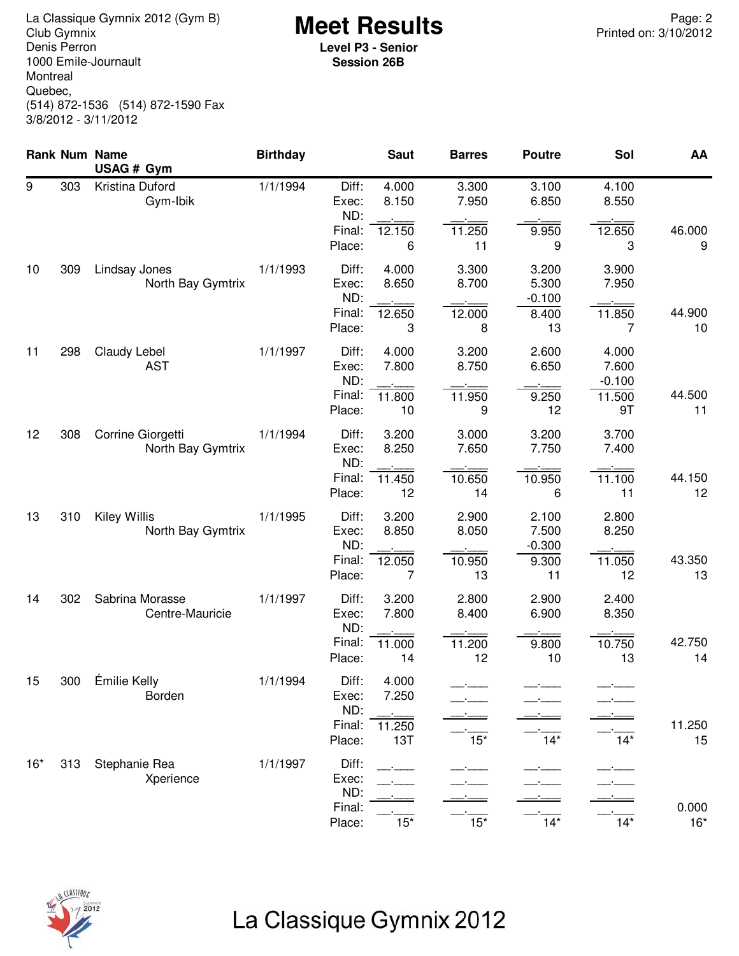**Meet Results** La Classique Gymnix 2012 (Gym B) Page: 2 Denis Perron 1000 Emile-Journault Montreal Quebec, (514) 872-1536 (514) 872-1590 Fax 3/8/2012 - 3/11/2012

**Level P3 - Senior Session 26B**

|       |     | Rank Num Name<br>USAG # Gym              | <b>Birthday</b> |                                           | <b>Saut</b>                     | <b>Barres</b>                  | <b>Poutre</b>                             | Sol                                        | AA             |
|-------|-----|------------------------------------------|-----------------|-------------------------------------------|---------------------------------|--------------------------------|-------------------------------------------|--------------------------------------------|----------------|
| 9     | 303 | Kristina Duford<br>Gym-Ibik              | 1/1/1994        | Diff:<br>Exec:<br>ND:<br>Final:<br>Place: | 4.000<br>8.150<br>12.150<br>6   | 3.300<br>7.950<br>11.250<br>11 | 3.100<br>6.850<br>9.950<br>9              | 4.100<br>8.550<br>12.650<br>3              | 46.000<br>9    |
| 10    | 309 | Lindsay Jones<br>North Bay Gymtrix       | 1/1/1993        | Diff:<br>Exec:<br>ND:<br>Final:<br>Place: | 4.000<br>8.650<br>12.650<br>3   | 3.300<br>8.700<br>12.000<br>8  | 3.200<br>5.300<br>$-0.100$<br>8.400<br>13 | 3.900<br>7.950<br>11.850<br>7              | 44.900<br>10   |
| 11    | 298 | Claudy Lebel<br><b>AST</b>               | 1/1/1997        | Diff:<br>Exec:<br>ND:<br>Final:<br>Place: | 4.000<br>7.800<br>11.800<br>10  | 3.200<br>8.750<br>11.950<br>9  | 2.600<br>6.650<br>9.250<br>12             | 4.000<br>7.600<br>$-0.100$<br>11.500<br>9T | 44.500<br>11   |
| 12    | 308 | Corrine Giorgetti<br>North Bay Gymtrix   | 1/1/1994        | Diff:<br>Exec:<br>ND:<br>Final:<br>Place: | 3.200<br>8.250<br>11.450<br>12  | 3.000<br>7.650<br>10.650<br>14 | 3.200<br>7.750<br>10.950<br>6             | 3.700<br>7.400<br>11.100<br>11             | 44.150<br>12   |
| 13    | 310 | <b>Kiley Willis</b><br>North Bay Gymtrix | 1/1/1995        | Diff:<br>Exec:<br>ND:<br>Final:<br>Place: | 3.200<br>8.850<br>12.050<br>7   | 2.900<br>8.050<br>10.950<br>13 | 2.100<br>7.500<br>$-0.300$<br>9.300<br>11 | 2.800<br>8.250<br>11.050<br>12             | 43.350<br>13   |
| 14    | 302 | Sabrina Morasse<br>Centre-Mauricie       | 1/1/1997        | Diff:<br>Exec:<br>ND:<br>Final:<br>Place: | 3.200<br>7.800<br>11.000<br>14  | 2.800<br>8.400<br>11.200<br>12 | 2.900<br>6.900<br>9.800<br>10             | 2.400<br>8.350<br>10.750<br>13             | 42.750<br>14   |
| 15    | 300 | Émilie Kelly<br>Borden                   | 1/1/1994        | Diff:<br>Exec:<br>ND:<br>Final:<br>Place: | 4.000<br>7.250<br>11.250<br>13T | $15*$                          | $14*$                                     | $14*$                                      | 11.250<br>15   |
| $16*$ | 313 | Stephanie Rea<br>Xperience               | 1/1/1997        | Diff:<br>Exec:<br>ND:<br>Final:<br>Place: | $15*$                           | $\overline{15^*}$              | $\overline{14*}$                          | $14*$                                      | 0.000<br>$16*$ |



# La Classique Gymnix 2012